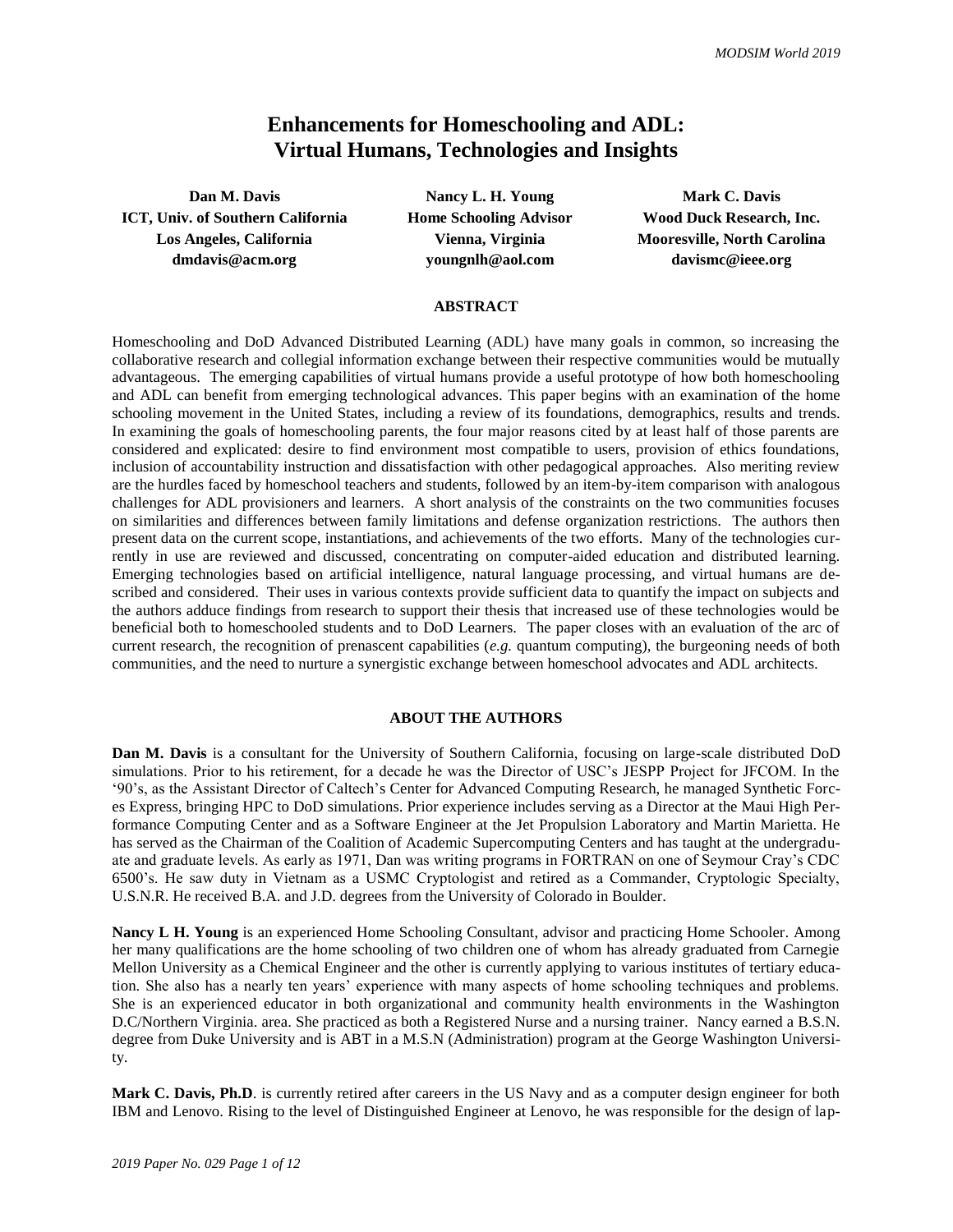# **Enhancements for Homeschooling and ADL: Virtual Humans, Technologies and Insights**

**Dan M. Davis Nancy L. H. Young Mark C. Davis ICT, Univ. of Southern California Home Schooling Advisor Wood Duck Research, Inc. Los Angeles, California Vienna, Virginia Mooresville, North Carolina dmdavis@acm.org youngnlh@aol.com davismc@ieee.org**

#### **ABSTRACT**

Homeschooling and DoD Advanced Distributed Learning (ADL) have many goals in common, so increasing the collaborative research and collegial information exchange between their respective communities would be mutually advantageous. The emerging capabilities of virtual humans provide a useful prototype of how both homeschooling and ADL can benefit from emerging technological advances. This paper begins with an examination of the home schooling movement in the United States, including a review of its foundations, demographics, results and trends. In examining the goals of homeschooling parents, the four major reasons cited by at least half of those parents are considered and explicated: desire to find environment most compatible to users, provision of ethics foundations, inclusion of accountability instruction and dissatisfaction with other pedagogical approaches. Also meriting review are the hurdles faced by homeschool teachers and students, followed by an item-by-item comparison with analogous challenges for ADL provisioners and learners. A short analysis of the constraints on the two communities focuses on similarities and differences between family limitations and defense organization restrictions. The authors then present data on the current scope, instantiations, and achievements of the two efforts. Many of the technologies currently in use are reviewed and discussed, concentrating on computer-aided education and distributed learning. Emerging technologies based on artificial intelligence, natural language processing, and virtual humans are described and considered. Their uses in various contexts provide sufficient data to quantify the impact on subjects and the authors adduce findings from research to support their thesis that increased use of these technologies would be beneficial both to homeschooled students and to DoD Learners. The paper closes with an evaluation of the arc of current research, the recognition of prenascent capabilities (*e.g.* quantum computing), the burgeoning needs of both communities, and the need to nurture a synergistic exchange between homeschool advocates and ADL architects.

## **ABOUT THE AUTHORS**

**Dan M. Davis** is a consultant for the University of Southern California, focusing on large-scale distributed DoD simulations. Prior to his retirement, for a decade he was the Director of USC's JESPP Project for JFCOM. In the '90's, as the Assistant Director of Caltech's Center for Advanced Computing Research, he managed Synthetic Forces Express, bringing HPC to DoD simulations. Prior experience includes serving as a Director at the Maui High Performance Computing Center and as a Software Engineer at the Jet Propulsion Laboratory and Martin Marietta. He has served as the Chairman of the Coalition of Academic Supercomputing Centers and has taught at the undergraduate and graduate levels. As early as 1971, Dan was writing programs in FORTRAN on one of Seymour Cray's CDC 6500's. He saw duty in Vietnam as a USMC Cryptologist and retired as a Commander, Cryptologic Specialty, U.S.N.R. He received B.A. and J.D. degrees from the University of Colorado in Boulder.

**Nancy L H. Young** is an experienced Home Schooling Consultant, advisor and practicing Home Schooler. Among her many qualifications are the home schooling of two children one of whom has already graduated from Carnegie Mellon University as a Chemical Engineer and the other is currently applying to various institutes of tertiary education. She also has a nearly ten years' experience with many aspects of home schooling techniques and problems. She is an experienced educator in both organizational and community health environments in the Washington D.C/Northern Virginia. area. She practiced as both a Registered Nurse and a nursing trainer. Nancy earned a B.S.N. degree from Duke University and is ABT in a M.S.N (Administration) program at the George Washington University.

**Mark C. Davis, Ph.D**. is currently retired after careers in the US Navy and as a computer design engineer for both IBM and Lenovo. Rising to the level of Distinguished Engineer at Lenovo, he was responsible for the design of lap-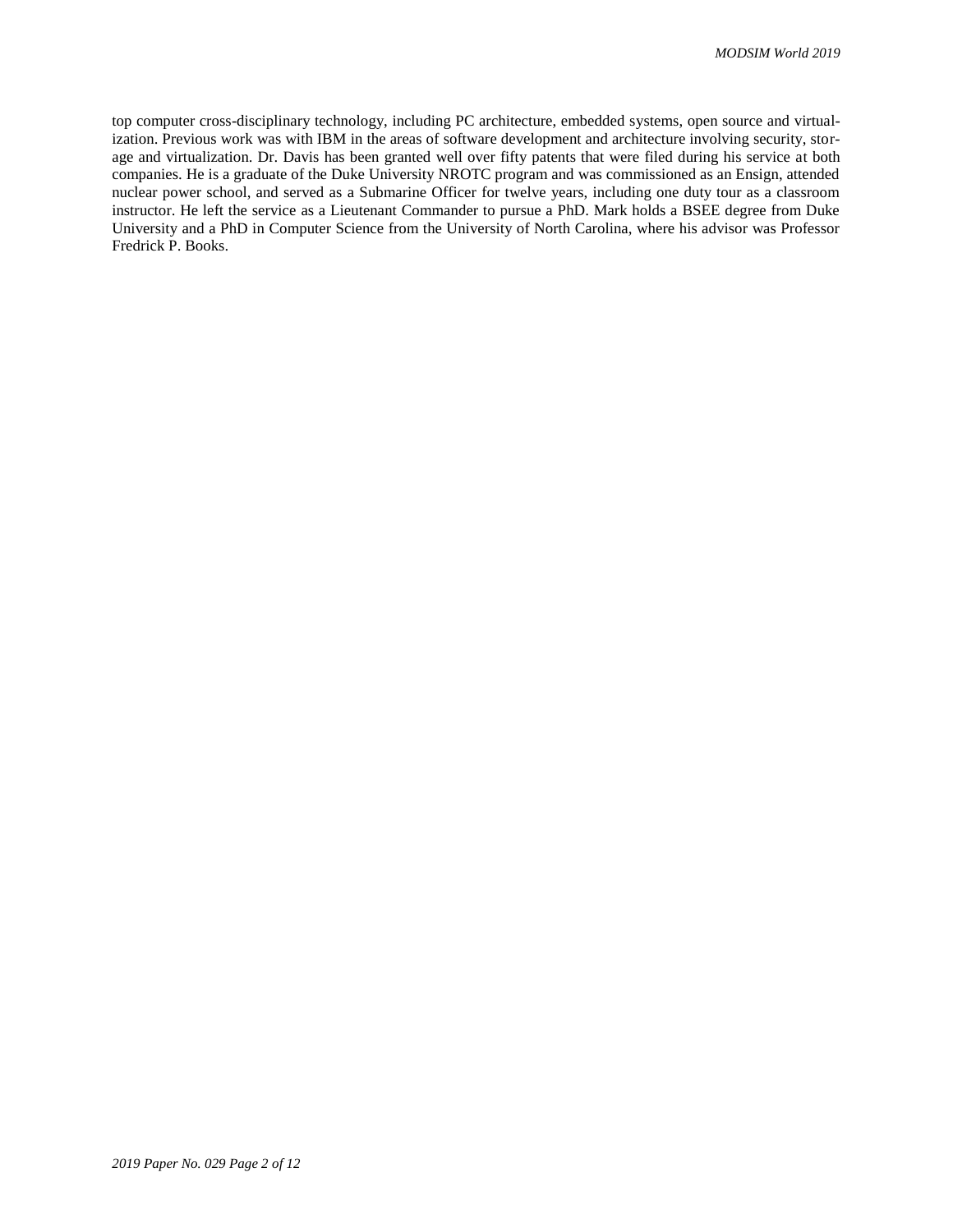top computer cross-disciplinary technology, including PC architecture, embedded systems, open source and virtualization. Previous work was with IBM in the areas of software development and architecture involving security, storage and virtualization. Dr. Davis has been granted well over fifty patents that were filed during his service at both companies. He is a graduate of the Duke University NROTC program and was commissioned as an Ensign, attended nuclear power school, and served as a Submarine Officer for twelve years, including one duty tour as a classroom instructor. He left the service as a Lieutenant Commander to pursue a PhD. Mark holds a BSEE degree from Duke University and a PhD in Computer Science from the University of North Carolina, where his advisor was Professor Fredrick P. Books.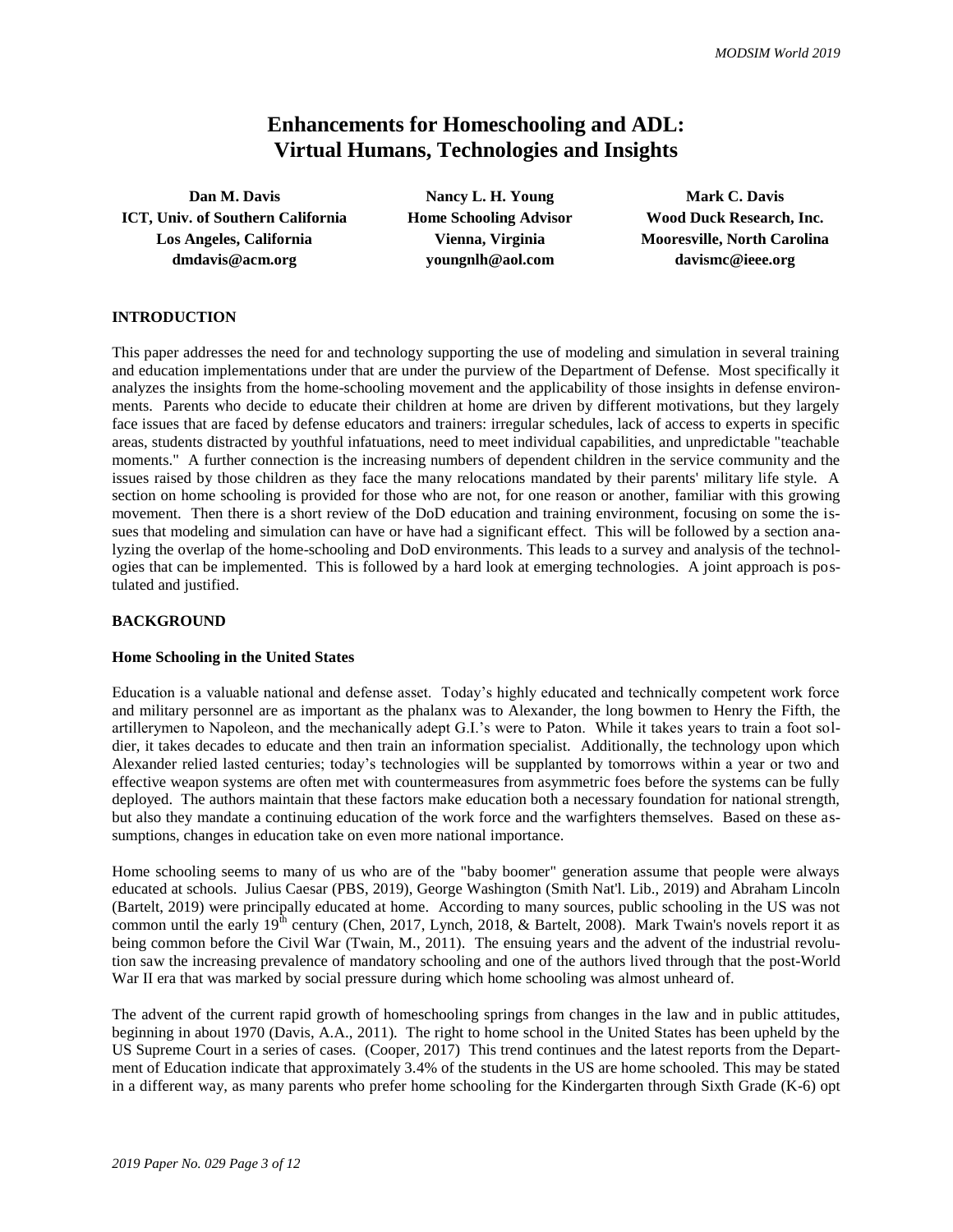# **Enhancements for Homeschooling and ADL: Virtual Humans, Technologies and Insights**

**ICT, Univ. of Southern California Home Schooling Advisor Wood Duck Research, Inc. Los Angeles, California Vienna, Virginia Mooresville, North Carolina dmdavis@acm.org youngnlh@aol.com davismc@ieee.org**

**Dan M. Davis Nancy L. H. Young Mark C. Davis** 

# **INTRODUCTION**

This paper addresses the need for and technology supporting the use of modeling and simulation in several training and education implementations under that are under the purview of the Department of Defense. Most specifically it analyzes the insights from the home-schooling movement and the applicability of those insights in defense environments. Parents who decide to educate their children at home are driven by different motivations, but they largely face issues that are faced by defense educators and trainers: irregular schedules, lack of access to experts in specific areas, students distracted by youthful infatuations, need to meet individual capabilities, and unpredictable "teachable moments." A further connection is the increasing numbers of dependent children in the service community and the issues raised by those children as they face the many relocations mandated by their parents' military life style. A section on home schooling is provided for those who are not, for one reason or another, familiar with this growing movement. Then there is a short review of the DoD education and training environment, focusing on some the issues that modeling and simulation can have or have had a significant effect. This will be followed by a section analyzing the overlap of the home-schooling and DoD environments. This leads to a survey and analysis of the technologies that can be implemented. This is followed by a hard look at emerging technologies. A joint approach is postulated and justified.

## **BACKGROUND**

#### **Home Schooling in the United States**

Education is a valuable national and defense asset. Today's highly educated and technically competent work force and military personnel are as important as the phalanx was to Alexander, the long bowmen to Henry the Fifth, the artillerymen to Napoleon, and the mechanically adept G.I.'s were to Paton. While it takes years to train a foot soldier, it takes decades to educate and then train an information specialist. Additionally, the technology upon which Alexander relied lasted centuries; today's technologies will be supplanted by tomorrows within a year or two and effective weapon systems are often met with countermeasures from asymmetric foes before the systems can be fully deployed. The authors maintain that these factors make education both a necessary foundation for national strength, but also they mandate a continuing education of the work force and the warfighters themselves. Based on these assumptions, changes in education take on even more national importance.

Home schooling seems to many of us who are of the "baby boomer" generation assume that people were always educated at schools. Julius Caesar (PBS, 2019), George Washington (Smith Nat'l. Lib., 2019) and Abraham Lincoln (Bartelt, 2019) were principally educated at home. According to many sources, public schooling in the US was not common until the early 19<sup>th</sup> century (Chen, 2017, Lynch, 2018, & Bartelt, 2008). Mark Twain's novels report it as being common before the Civil War (Twain, M., 2011). The ensuing years and the advent of the industrial revolution saw the increasing prevalence of mandatory schooling and one of the authors lived through that the post-World War II era that was marked by social pressure during which home schooling was almost unheard of.

The advent of the current rapid growth of homeschooling springs from changes in the law and in public attitudes, beginning in about 1970 (Davis, A.A., 2011). The right to home school in the United States has been upheld by the US Supreme Court in a series of cases. (Cooper, 2017) This trend continues and the latest reports from the Department of Education indicate that approximately 3.4% of the students in the US are home schooled. This may be stated in a different way, as many parents who prefer home schooling for the Kindergarten through Sixth Grade (K-6) opt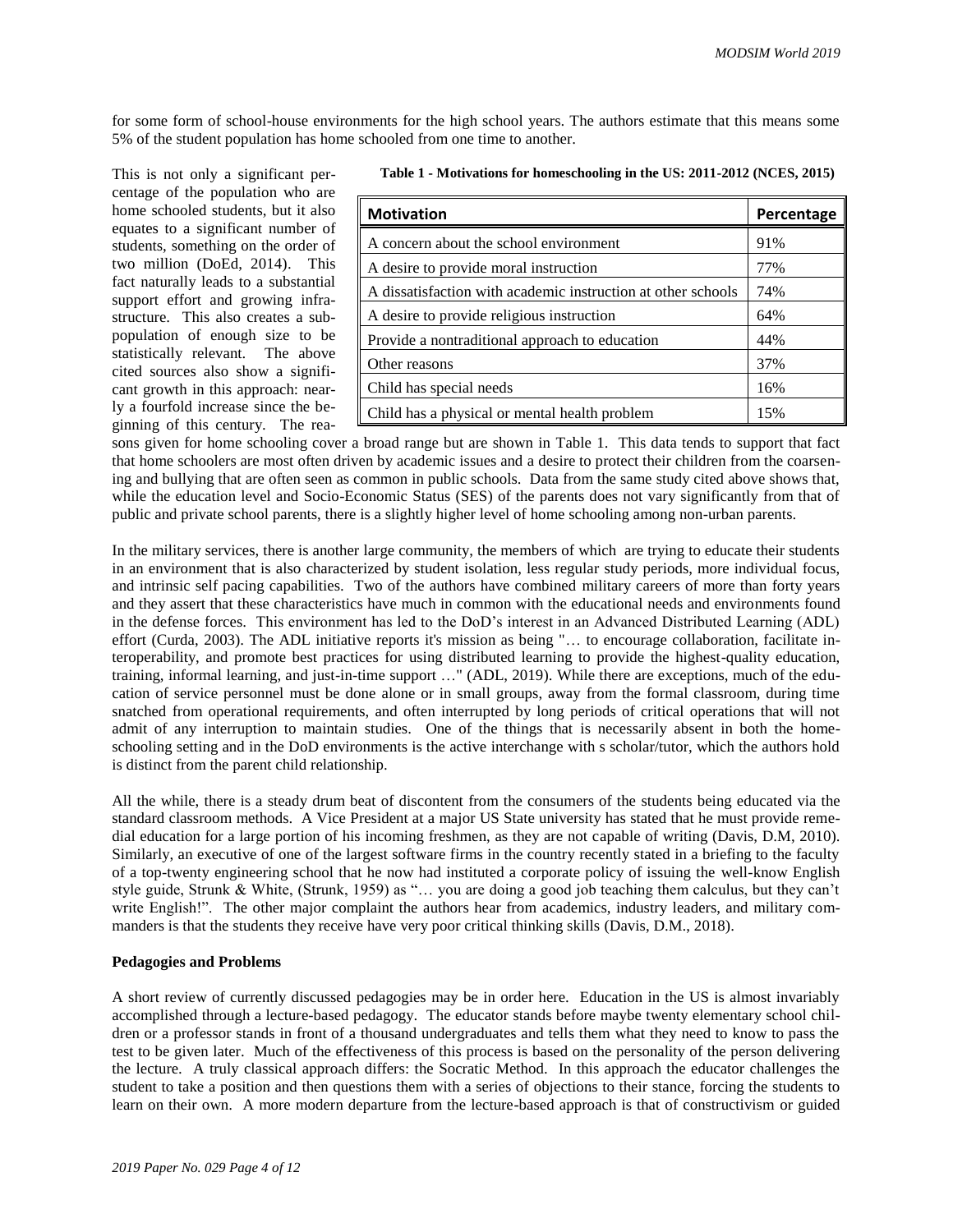for some form of school-house environments for the high school years. The authors estimate that this means some 5% of the student population has home schooled from one time to another.

This is not only a significant percentage of the population who are home schooled students, but it also equates to a significant number of students, something on the order of two million (DoEd, 2014). This fact naturally leads to a substantial support effort and growing infrastructure. This also creates a subpopulation of enough size to be statistically relevant. The above cited sources also show a significant growth in this approach: nearly a fourfold increase since the beginning of this century. The rea-

|  |  | Table 1 - Motivations for homeschooling in the US: 2011-2012 (NCES, 2015) |
|--|--|---------------------------------------------------------------------------|
|--|--|---------------------------------------------------------------------------|

| <b>Motivation</b>                                            | Percentage |
|--------------------------------------------------------------|------------|
| A concern about the school environment                       | 91%        |
| A desire to provide moral instruction                        | 77%        |
| A dissatisfaction with academic instruction at other schools | 74%        |
| A desire to provide religious instruction                    | 64%        |
| Provide a nontraditional approach to education               | 44%        |
| Other reasons                                                | 37%        |
| Child has special needs                                      | 16%        |
| Child has a physical or mental health problem                | 15%        |

sons given for home schooling cover a broad range but are shown in Table 1. This data tends to support that fact that home schoolers are most often driven by academic issues and a desire to protect their children from the coarsening and bullying that are often seen as common in public schools. Data from the same study cited above shows that, while the education level and Socio-Economic Status (SES) of the parents does not vary significantly from that of public and private school parents, there is a slightly higher level of home schooling among non-urban parents.

In the military services, there is another large community, the members of which are trying to educate their students in an environment that is also characterized by student isolation, less regular study periods, more individual focus, and intrinsic self pacing capabilities. Two of the authors have combined military careers of more than forty years and they assert that these characteristics have much in common with the educational needs and environments found in the defense forces. This environment has led to the DoD's interest in an Advanced Distributed Learning (ADL) effort (Curda, 2003). The ADL initiative reports it's mission as being "… to encourage collaboration, facilitate interoperability, and promote best practices for using distributed learning to provide the highest-quality education, training, informal learning, and just-in-time support …" (ADL, 2019). While there are exceptions, much of the education of service personnel must be done alone or in small groups, away from the formal classroom, during time snatched from operational requirements, and often interrupted by long periods of critical operations that will not admit of any interruption to maintain studies. One of the things that is necessarily absent in both the homeschooling setting and in the DoD environments is the active interchange with s scholar/tutor, which the authors hold is distinct from the parent child relationship.

All the while, there is a steady drum beat of discontent from the consumers of the students being educated via the standard classroom methods. A Vice President at a major US State university has stated that he must provide remedial education for a large portion of his incoming freshmen, as they are not capable of writing (Davis, D.M, 2010). Similarly, an executive of one of the largest software firms in the country recently stated in a briefing to the faculty of a top-twenty engineering school that he now had instituted a corporate policy of issuing the well-know English style guide, Strunk & White, (Strunk, 1959) as "… you are doing a good job teaching them calculus, but they can't write English!". The other major complaint the authors hear from academics, industry leaders, and military commanders is that the students they receive have very poor critical thinking skills (Davis, D.M., 2018).

## **Pedagogies and Problems**

A short review of currently discussed pedagogies may be in order here. Education in the US is almost invariably accomplished through a lecture-based pedagogy. The educator stands before maybe twenty elementary school children or a professor stands in front of a thousand undergraduates and tells them what they need to know to pass the test to be given later. Much of the effectiveness of this process is based on the personality of the person delivering the lecture. A truly classical approach differs: the Socratic Method. In this approach the educator challenges the student to take a position and then questions them with a series of objections to their stance, forcing the students to learn on their own. A more modern departure from the lecture-based approach is that of constructivism or guided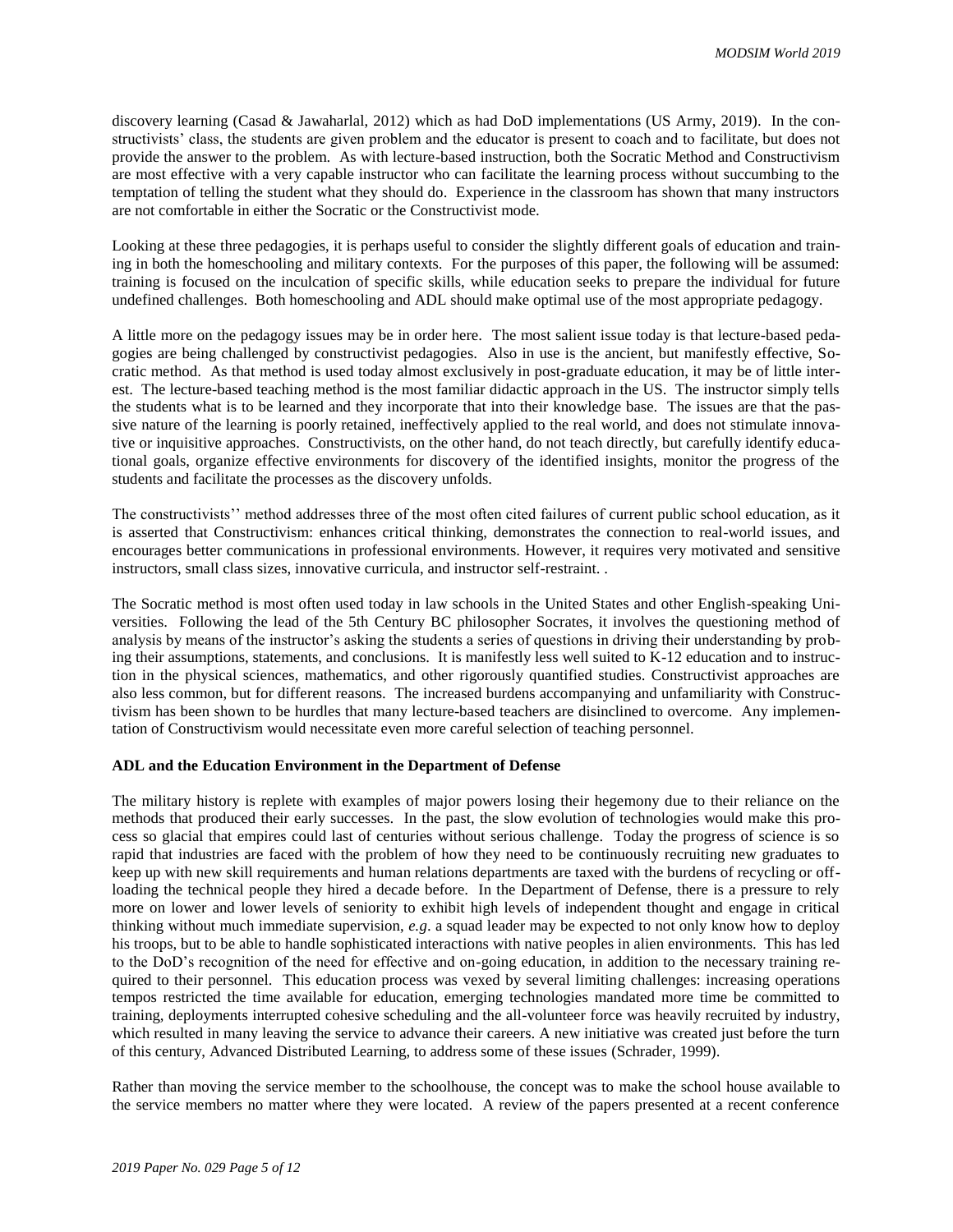discovery learning (Casad & Jawaharlal, 2012) which as had DoD implementations (US Army, 2019). In the constructivists' class, the students are given problem and the educator is present to coach and to facilitate, but does not provide the answer to the problem. As with lecture-based instruction, both the Socratic Method and Constructivism are most effective with a very capable instructor who can facilitate the learning process without succumbing to the temptation of telling the student what they should do. Experience in the classroom has shown that many instructors are not comfortable in either the Socratic or the Constructivist mode.

Looking at these three pedagogies, it is perhaps useful to consider the slightly different goals of education and training in both the homeschooling and military contexts. For the purposes of this paper, the following will be assumed: training is focused on the inculcation of specific skills, while education seeks to prepare the individual for future undefined challenges. Both homeschooling and ADL should make optimal use of the most appropriate pedagogy.

A little more on the pedagogy issues may be in order here. The most salient issue today is that lecture-based pedagogies are being challenged by constructivist pedagogies. Also in use is the ancient, but manifestly effective, Socratic method. As that method is used today almost exclusively in post-graduate education, it may be of little interest. The lecture-based teaching method is the most familiar didactic approach in the US. The instructor simply tells the students what is to be learned and they incorporate that into their knowledge base. The issues are that the passive nature of the learning is poorly retained, ineffectively applied to the real world, and does not stimulate innovative or inquisitive approaches. Constructivists, on the other hand, do not teach directly, but carefully identify educational goals, organize effective environments for discovery of the identified insights, monitor the progress of the students and facilitate the processes as the discovery unfolds.

The constructivists'' method addresses three of the most often cited failures of current public school education, as it is asserted that Constructivism: enhances critical thinking, demonstrates the connection to real-world issues, and encourages better communications in professional environments. However, it requires very motivated and sensitive instructors, small class sizes, innovative curricula, and instructor self-restraint. .

The Socratic method is most often used today in law schools in the United States and other English-speaking Universities. Following the lead of the 5th Century BC philosopher Socrates, it involves the questioning method of analysis by means of the instructor's asking the students a series of questions in driving their understanding by probing their assumptions, statements, and conclusions. It is manifestly less well suited to K-12 education and to instruction in the physical sciences, mathematics, and other rigorously quantified studies. Constructivist approaches are also less common, but for different reasons. The increased burdens accompanying and unfamiliarity with Constructivism has been shown to be hurdles that many lecture-based teachers are disinclined to overcome. Any implementation of Constructivism would necessitate even more careful selection of teaching personnel.

#### **ADL and the Education Environment in the Department of Defense**

The military history is replete with examples of major powers losing their hegemony due to their reliance on the methods that produced their early successes. In the past, the slow evolution of technologies would make this process so glacial that empires could last of centuries without serious challenge. Today the progress of science is so rapid that industries are faced with the problem of how they need to be continuously recruiting new graduates to keep up with new skill requirements and human relations departments are taxed with the burdens of recycling or offloading the technical people they hired a decade before. In the Department of Defense, there is a pressure to rely more on lower and lower levels of seniority to exhibit high levels of independent thought and engage in critical thinking without much immediate supervision, *e.g*. a squad leader may be expected to not only know how to deploy his troops, but to be able to handle sophisticated interactions with native peoples in alien environments. This has led to the DoD's recognition of the need for effective and on-going education, in addition to the necessary training required to their personnel. This education process was vexed by several limiting challenges: increasing operations tempos restricted the time available for education, emerging technologies mandated more time be committed to training, deployments interrupted cohesive scheduling and the all-volunteer force was heavily recruited by industry, which resulted in many leaving the service to advance their careers. A new initiative was created just before the turn of this century, Advanced Distributed Learning, to address some of these issues (Schrader, 1999).

Rather than moving the service member to the schoolhouse, the concept was to make the school house available to the service members no matter where they were located. A review of the papers presented at a recent conference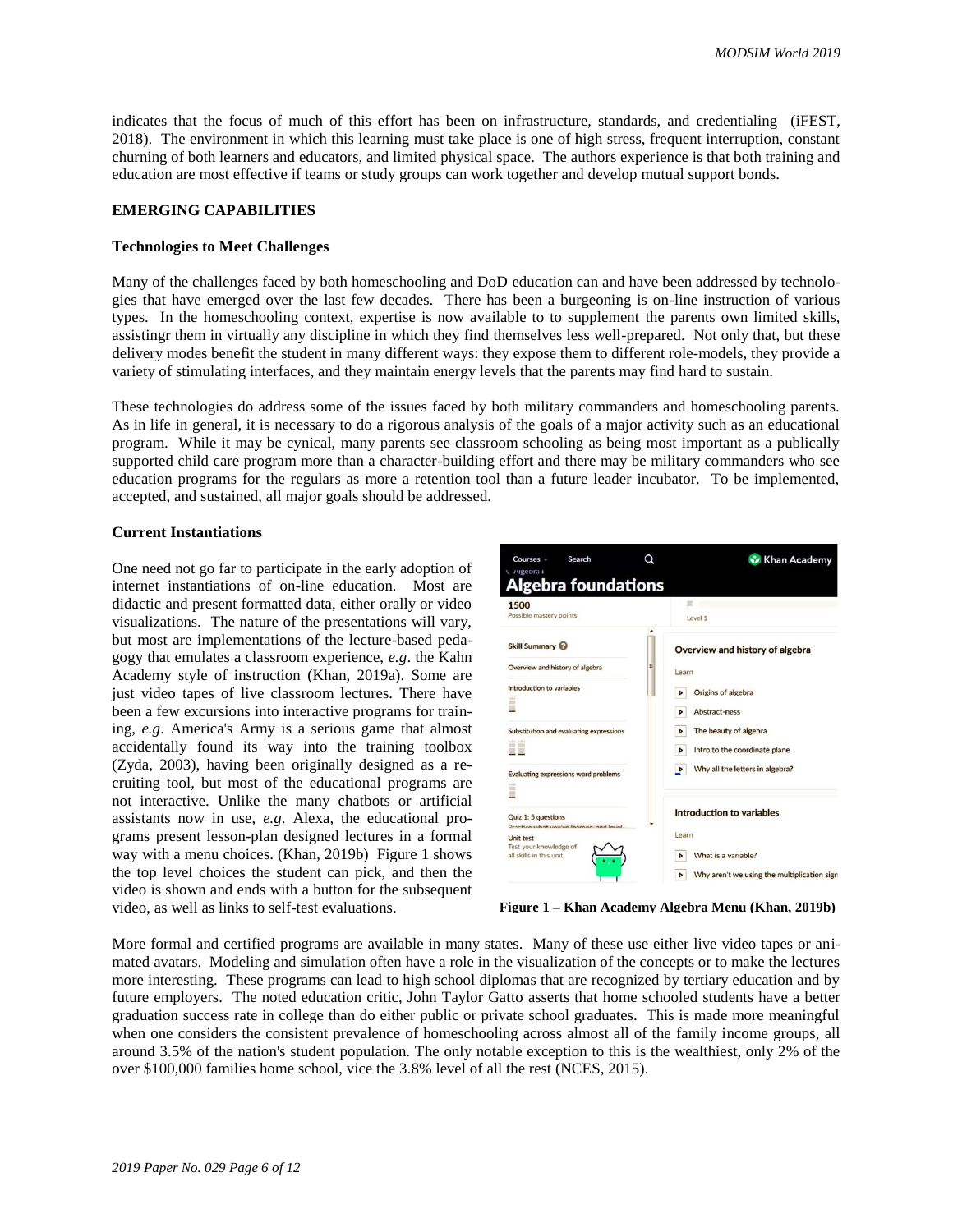indicates that the focus of much of this effort has been on infrastructure, standards, and credentialing (iFEST, 2018). The environment in which this learning must take place is one of high stress, frequent interruption, constant churning of both learners and educators, and limited physical space. The authors experience is that both training and education are most effective if teams or study groups can work together and develop mutual support bonds.

### **EMERGING CAPABILITIES**

## **Technologies to Meet Challenges**

Many of the challenges faced by both homeschooling and DoD education can and have been addressed by technologies that have emerged over the last few decades. There has been a burgeoning is on-line instruction of various types. In the homeschooling context, expertise is now available to to supplement the parents own limited skills, assistingr them in virtually any discipline in which they find themselves less well-prepared. Not only that, but these delivery modes benefit the student in many different ways: they expose them to different role-models, they provide a variety of stimulating interfaces, and they maintain energy levels that the parents may find hard to sustain.

These technologies do address some of the issues faced by both military commanders and homeschooling parents. As in life in general, it is necessary to do a rigorous analysis of the goals of a major activity such as an educational program. While it may be cynical, many parents see classroom schooling as being most important as a publically supported child care program more than a character-building effort and there may be military commanders who see education programs for the regulars as more a retention tool than a future leader incubator. To be implemented, accepted, and sustained, all major goals should be addressed.

#### **Current Instantiations**

One need not go far to participate in the early adoption of internet instantiations of on-line education. Most are didactic and present formatted data, either orally or video visualizations. The nature of the presentations will vary, but most are implementations of the lecture-based pedagogy that emulates a classroom experience, *e.g*. the Kahn Academy style of instruction (Khan, 2019a). Some are just video tapes of live classroom lectures. There have been a few excursions into interactive programs for training, *e.g*. America's Army is a serious game that almost accidentally found its way into the training toolbox (Zyda, 2003), having been originally designed as a recruiting tool, but most of the educational programs are not interactive. Unlike the many chatbots or artificial assistants now in use, *e.g*. Alexa, the educational programs present lesson-plan designed lectures in a formal way with a menu choices. (Khan, 2019b) Figure 1 shows the top level choices the student can pick, and then the video is shown and ends with a button for the subsequent video, as well as links to self-test evaluations.



**Figure 1 – Khan Academy Algebra Menu (Khan, 2019b)**

More formal and certified programs are available in many states. Many of these use either live video tapes or animated avatars. Modeling and simulation often have a role in the visualization of the concepts or to make the lectures more interesting. These programs can lead to high school diplomas that are recognized by tertiary education and by future employers. The noted education critic, John Taylor Gatto asserts that home schooled students have a better graduation success rate in college than do either public or private school graduates. This is made more meaningful when one considers the consistent prevalence of homeschooling across almost all of the family income groups, all around 3.5% of the nation's student population. The only notable exception to this is the wealthiest, only 2% of the over \$100,000 families home school, vice the 3.8% level of all the rest (NCES, 2015).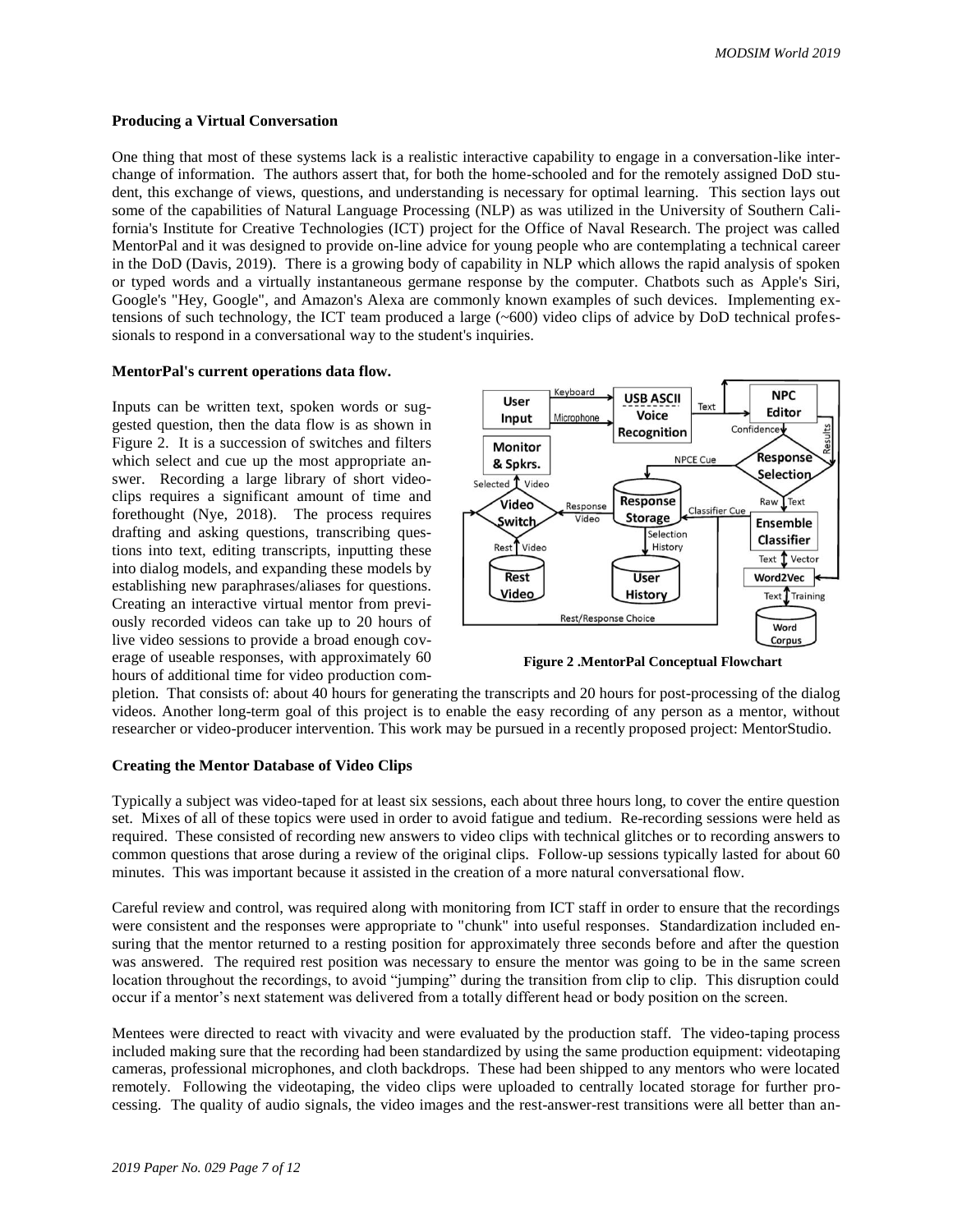#### **Producing a Virtual Conversation**

One thing that most of these systems lack is a realistic interactive capability to engage in a conversation-like interchange of information. The authors assert that, for both the home-schooled and for the remotely assigned DoD student, this exchange of views, questions, and understanding is necessary for optimal learning. This section lays out some of the capabilities of Natural Language Processing (NLP) as was utilized in the University of Southern California's Institute for Creative Technologies (ICT) project for the Office of Naval Research. The project was called MentorPal and it was designed to provide on-line advice for young people who are contemplating a technical career in the DoD (Davis, 2019). There is a growing body of capability in NLP which allows the rapid analysis of spoken or typed words and a virtually instantaneous germane response by the computer. Chatbots such as Apple's Siri, Google's "Hey, Google", and Amazon's Alexa are commonly known examples of such devices. Implementing extensions of such technology, the ICT team produced a large  $(\sim 600)$  video clips of advice by DoD technical professionals to respond in a conversational way to the student's inquiries.

### **MentorPal's current operations data flow.**

Inputs can be written text, spoken words or suggested question, then the data flow is as shown in Figure 2. It is a succession of switches and filters which select and cue up the most appropriate answer. Recording a large library of short videoclips requires a significant amount of time and forethought (Nye, 2018). The process requires drafting and asking questions, transcribing questions into text, editing transcripts, inputting these into dialog models, and expanding these models by establishing new paraphrases/aliases for questions. Creating an interactive virtual mentor from previously recorded videos can take up to 20 hours of live video sessions to provide a broad enough coverage of useable responses, with approximately 60 hours of additional time for video production com-



**Figure 2 .MentorPal Conceptual Flowchart**

pletion. That consists of: about 40 hours for generating the transcripts and 20 hours for post-processing of the dialog videos. Another long-term goal of this project is to enable the easy recording of any person as a mentor, without researcher or video-producer intervention. This work may be pursued in a recently proposed project: MentorStudio.

#### **Creating the Mentor Database of Video Clips**

Typically a subject was video-taped for at least six sessions, each about three hours long, to cover the entire question set. Mixes of all of these topics were used in order to avoid fatigue and tedium. Re-recording sessions were held as required. These consisted of recording new answers to video clips with technical glitches or to recording answers to common questions that arose during a review of the original clips. Follow-up sessions typically lasted for about 60 minutes. This was important because it assisted in the creation of a more natural conversational flow.

Careful review and control, was required along with monitoring from ICT staff in order to ensure that the recordings were consistent and the responses were appropriate to "chunk" into useful responses. Standardization included ensuring that the mentor returned to a resting position for approximately three seconds before and after the question was answered. The required rest position was necessary to ensure the mentor was going to be in the same screen location throughout the recordings, to avoid "jumping" during the transition from clip to clip. This disruption could occur if a mentor's next statement was delivered from a totally different head or body position on the screen.

Mentees were directed to react with vivacity and were evaluated by the production staff. The video-taping process included making sure that the recording had been standardized by using the same production equipment: videotaping cameras, professional microphones, and cloth backdrops. These had been shipped to any mentors who were located remotely. Following the videotaping, the video clips were uploaded to centrally located storage for further processing. The quality of audio signals, the video images and the rest-answer-rest transitions were all better than an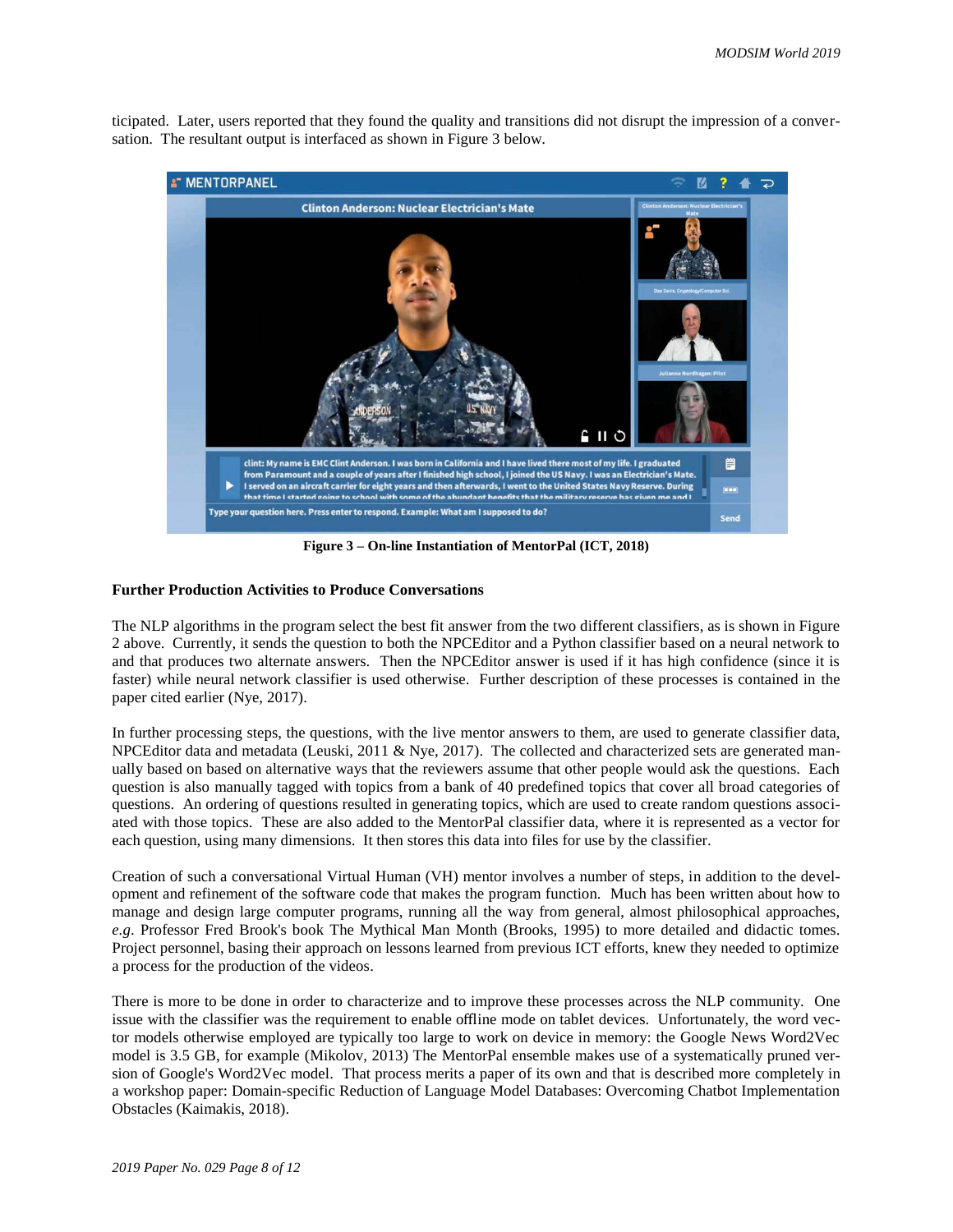ticipated. Later, users reported that they found the quality and transitions did not disrupt the impression of a conversation. The resultant output is interfaced as shown in Figure 3 below.



**Figure 3 – On-line Instantiation of MentorPal (ICT, 2018)**

## **Further Production Activities to Produce Conversations**

The NLP algorithms in the program select the best fit answer from the two different classifiers, as is shown in Figure 2 above. Currently, it sends the question to both the NPCEditor and a Python classifier based on a neural network to and that produces two alternate answers. Then the NPCEditor answer is used if it has high confidence (since it is faster) while neural network classifier is used otherwise. Further description of these processes is contained in the paper cited earlier (Nye, 2017).

In further processing steps, the questions, with the live mentor answers to them, are used to generate classifier data, NPCEditor data and metadata (Leuski, 2011 & Nye, 2017). The collected and characterized sets are generated manually based on based on alternative ways that the reviewers assume that other people would ask the questions. Each question is also manually tagged with topics from a bank of 40 predefined topics that cover all broad categories of questions. An ordering of questions resulted in generating topics, which are used to create random questions associated with those topics. These are also added to the MentorPal classifier data, where it is represented as a vector for each question, using many dimensions. It then stores this data into files for use by the classifier.

Creation of such a conversational Virtual Human (VH) mentor involves a number of steps, in addition to the development and refinement of the software code that makes the program function. Much has been written about how to manage and design large computer programs, running all the way from general, almost philosophical approaches, *e.g*. Professor Fred Brook's book The Mythical Man Month (Brooks, 1995) to more detailed and didactic tomes. Project personnel, basing their approach on lessons learned from previous ICT efforts, knew they needed to optimize a process for the production of the videos.

There is more to be done in order to characterize and to improve these processes across the NLP community. One issue with the classifier was the requirement to enable offline mode on tablet devices. Unfortunately, the word vector models otherwise employed are typically too large to work on device in memory: the Google News Word2Vec model is 3.5 GB, for example (Mikolov, 2013) The MentorPal ensemble makes use of a systematically pruned version of Google's Word2Vec model. That process merits a paper of its own and that is described more completely in a workshop paper: Domain-specific Reduction of Language Model Databases: Overcoming Chatbot Implementation Obstacles (Kaimakis, 2018).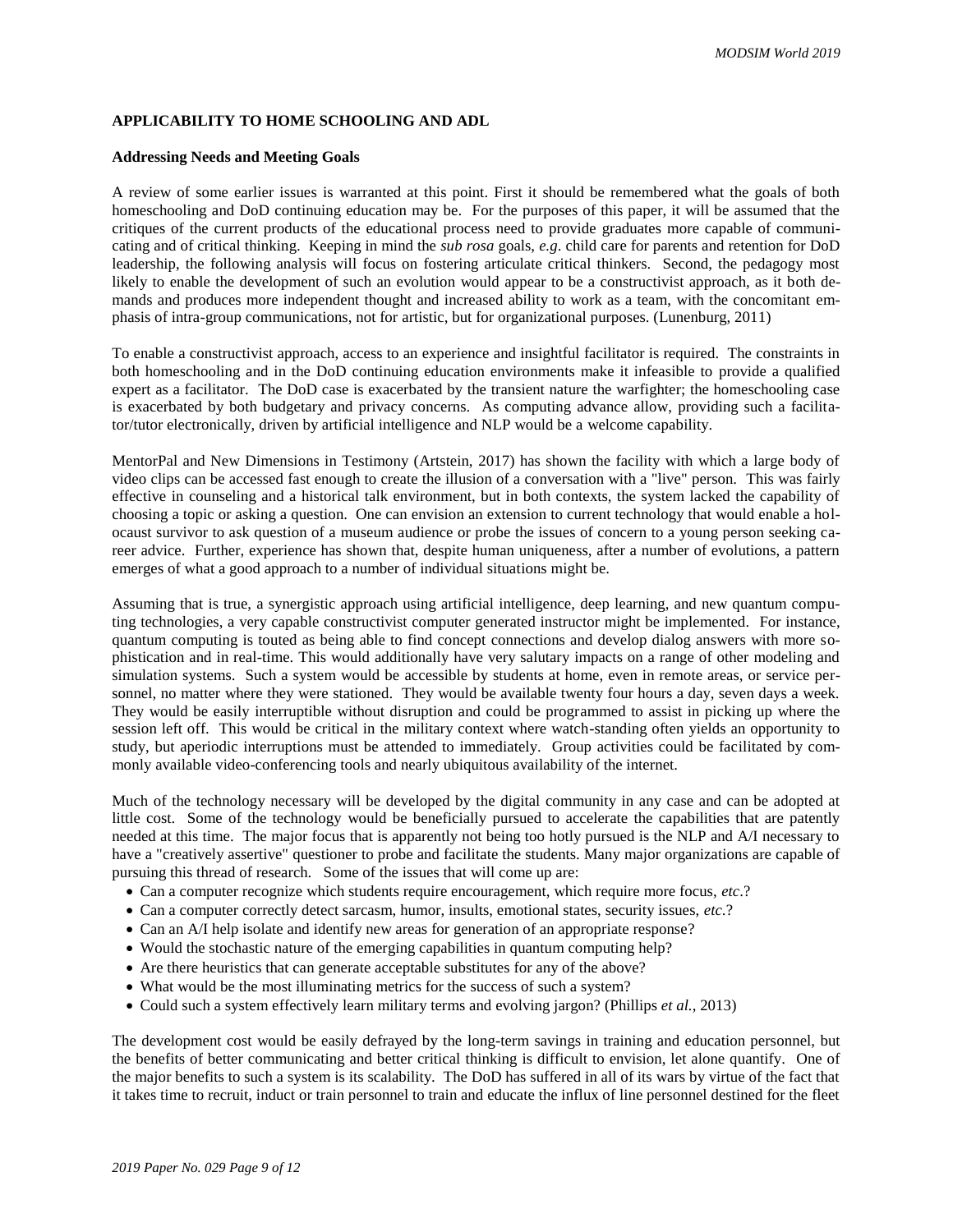# **APPLICABILITY TO HOME SCHOOLING AND ADL**

#### **Addressing Needs and Meeting Goals**

A review of some earlier issues is warranted at this point. First it should be remembered what the goals of both homeschooling and DoD continuing education may be. For the purposes of this paper, it will be assumed that the critiques of the current products of the educational process need to provide graduates more capable of communicating and of critical thinking. Keeping in mind the *sub rosa* goals, *e.g*. child care for parents and retention for DoD leadership, the following analysis will focus on fostering articulate critical thinkers. Second, the pedagogy most likely to enable the development of such an evolution would appear to be a constructivist approach, as it both demands and produces more independent thought and increased ability to work as a team, with the concomitant emphasis of intra-group communications, not for artistic, but for organizational purposes. (Lunenburg, 2011)

To enable a constructivist approach, access to an experience and insightful facilitator is required. The constraints in both homeschooling and in the DoD continuing education environments make it infeasible to provide a qualified expert as a facilitator. The DoD case is exacerbated by the transient nature the warfighter; the homeschooling case is exacerbated by both budgetary and privacy concerns. As computing advance allow, providing such a facilitator/tutor electronically, driven by artificial intelligence and NLP would be a welcome capability.

MentorPal and New Dimensions in Testimony (Artstein, 2017) has shown the facility with which a large body of video clips can be accessed fast enough to create the illusion of a conversation with a "live" person. This was fairly effective in counseling and a historical talk environment, but in both contexts, the system lacked the capability of choosing a topic or asking a question. One can envision an extension to current technology that would enable a holocaust survivor to ask question of a museum audience or probe the issues of concern to a young person seeking career advice. Further, experience has shown that, despite human uniqueness, after a number of evolutions, a pattern emerges of what a good approach to a number of individual situations might be.

Assuming that is true, a synergistic approach using artificial intelligence, deep learning, and new quantum computing technologies, a very capable constructivist computer generated instructor might be implemented. For instance, quantum computing is touted as being able to find concept connections and develop dialog answers with more sophistication and in real-time. This would additionally have very salutary impacts on a range of other modeling and simulation systems. Such a system would be accessible by students at home, even in remote areas, or service personnel, no matter where they were stationed. They would be available twenty four hours a day, seven days a week. They would be easily interruptible without disruption and could be programmed to assist in picking up where the session left off. This would be critical in the military context where watch-standing often yields an opportunity to study, but aperiodic interruptions must be attended to immediately. Group activities could be facilitated by commonly available video-conferencing tools and nearly ubiquitous availability of the internet.

Much of the technology necessary will be developed by the digital community in any case and can be adopted at little cost. Some of the technology would be beneficially pursued to accelerate the capabilities that are patently needed at this time. The major focus that is apparently not being too hotly pursued is the NLP and A/I necessary to have a "creatively assertive" questioner to probe and facilitate the students. Many major organizations are capable of pursuing this thread of research. Some of the issues that will come up are:

- Can a computer recognize which students require encouragement, which require more focus, *etc*.?
- Can a computer correctly detect sarcasm, humor, insults, emotional states, security issues, *etc.*?
- Can an A/I help isolate and identify new areas for generation of an appropriate response?
- Would the stochastic nature of the emerging capabilities in quantum computing help?
- Are there heuristics that can generate acceptable substitutes for any of the above?
- What would be the most illuminating metrics for the success of such a system?
- Could such a system effectively learn military terms and evolving jargon? (Phillips *et al.*, 2013)

The development cost would be easily defrayed by the long-term savings in training and education personnel, but the benefits of better communicating and better critical thinking is difficult to envision, let alone quantify. One of the major benefits to such a system is its scalability. The DoD has suffered in all of its wars by virtue of the fact that it takes time to recruit, induct or train personnel to train and educate the influx of line personnel destined for the fleet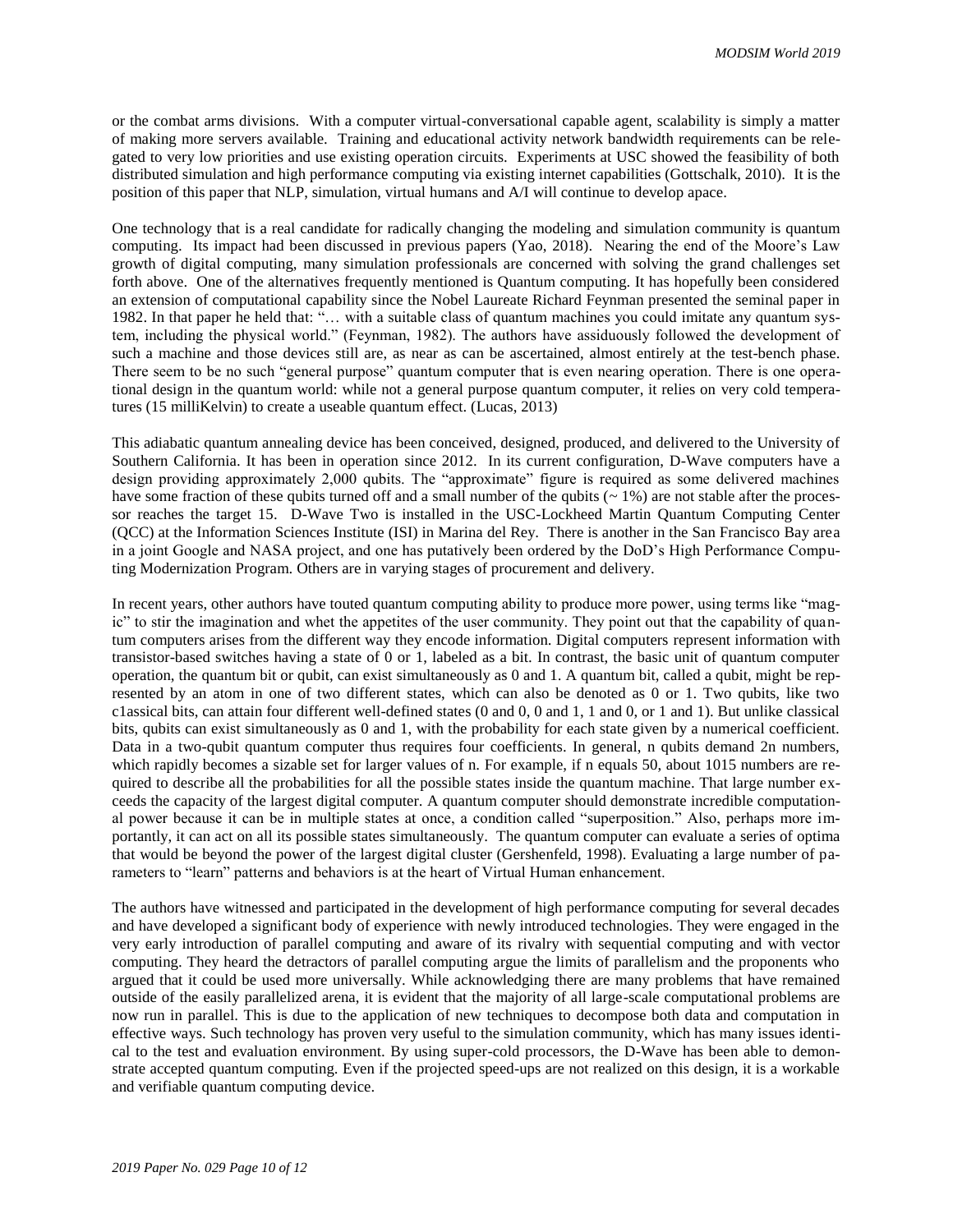or the combat arms divisions. With a computer virtual-conversational capable agent, scalability is simply a matter of making more servers available. Training and educational activity network bandwidth requirements can be relegated to very low priorities and use existing operation circuits. Experiments at USC showed the feasibility of both distributed simulation and high performance computing via existing internet capabilities (Gottschalk, 2010). It is the position of this paper that NLP, simulation, virtual humans and A/I will continue to develop apace.

One technology that is a real candidate for radically changing the modeling and simulation community is quantum computing. Its impact had been discussed in previous papers (Yao, 2018). Nearing the end of the Moore's Law growth of digital computing, many simulation professionals are concerned with solving the grand challenges set forth above. One of the alternatives frequently mentioned is Quantum computing. It has hopefully been considered an extension of computational capability since the Nobel Laureate Richard Feynman presented the seminal paper in 1982. In that paper he held that: "… with a suitable class of quantum machines you could imitate any quantum system, including the physical world." (Feynman, 1982). The authors have assiduously followed the development of such a machine and those devices still are, as near as can be ascertained, almost entirely at the test-bench phase. There seem to be no such "general purpose" quantum computer that is even nearing operation. There is one operational design in the quantum world: while not a general purpose quantum computer, it relies on very cold temperatures (15 milliKelvin) to create a useable quantum effect. (Lucas, 2013)

This adiabatic quantum annealing device has been conceived, designed, produced, and delivered to the University of Southern California. It has been in operation since 2012. In its current configuration, D-Wave computers have a design providing approximately 2,000 qubits. The "approximate" figure is required as some delivered machines have some fraction of these qubits turned off and a small number of the qubits ( $\sim$  1%) are not stable after the processor reaches the target 15. D-Wave Two is installed in the USC-Lockheed Martin Quantum Computing Center (QCC) at the Information Sciences Institute (ISI) in Marina del Rey. There is another in the San Francisco Bay area in a joint Google and NASA project, and one has putatively been ordered by the DoD's High Performance Computing Modernization Program. Others are in varying stages of procurement and delivery.

In recent years, other authors have touted quantum computing ability to produce more power, using terms like "magic" to stir the imagination and whet the appetites of the user community. They point out that the capability of quantum computers arises from the different way they encode information. Digital computers represent information with transistor-based switches having a state of 0 or 1, labeled as a bit. In contrast, the basic unit of quantum computer operation, the quantum bit or qubit, can exist simultaneously as 0 and 1. A quantum bit, called a qubit, might be represented by an atom in one of two different states, which can also be denoted as 0 or 1. Two qubits, like two c1assical bits, can attain four different well-defined states (0 and 0, 0 and 1, 1 and 0, or 1 and 1). But unlike classical bits, qubits can exist simultaneously as 0 and 1, with the probability for each state given by a numerical coefficient. Data in a two-qubit quantum computer thus requires four coefficients. In general, n qubits demand 2n numbers, which rapidly becomes a sizable set for larger values of n. For example, if n equals 50, about 1015 numbers are required to describe all the probabilities for all the possible states inside the quantum machine. That large number exceeds the capacity of the largest digital computer. A quantum computer should demonstrate incredible computational power because it can be in multiple states at once, a condition called "superposition." Also, perhaps more importantly, it can act on all its possible states simultaneously. The quantum computer can evaluate a series of optima that would be beyond the power of the largest digital cluster (Gershenfeld, 1998). Evaluating a large number of parameters to "learn" patterns and behaviors is at the heart of Virtual Human enhancement.

The authors have witnessed and participated in the development of high performance computing for several decades and have developed a significant body of experience with newly introduced technologies. They were engaged in the very early introduction of parallel computing and aware of its rivalry with sequential computing and with vector computing. They heard the detractors of parallel computing argue the limits of parallelism and the proponents who argued that it could be used more universally. While acknowledging there are many problems that have remained outside of the easily parallelized arena, it is evident that the majority of all large-scale computational problems are now run in parallel. This is due to the application of new techniques to decompose both data and computation in effective ways. Such technology has proven very useful to the simulation community, which has many issues identical to the test and evaluation environment. By using super-cold processors, the D-Wave has been able to demonstrate accepted quantum computing. Even if the projected speed-ups are not realized on this design, it is a workable and verifiable quantum computing device.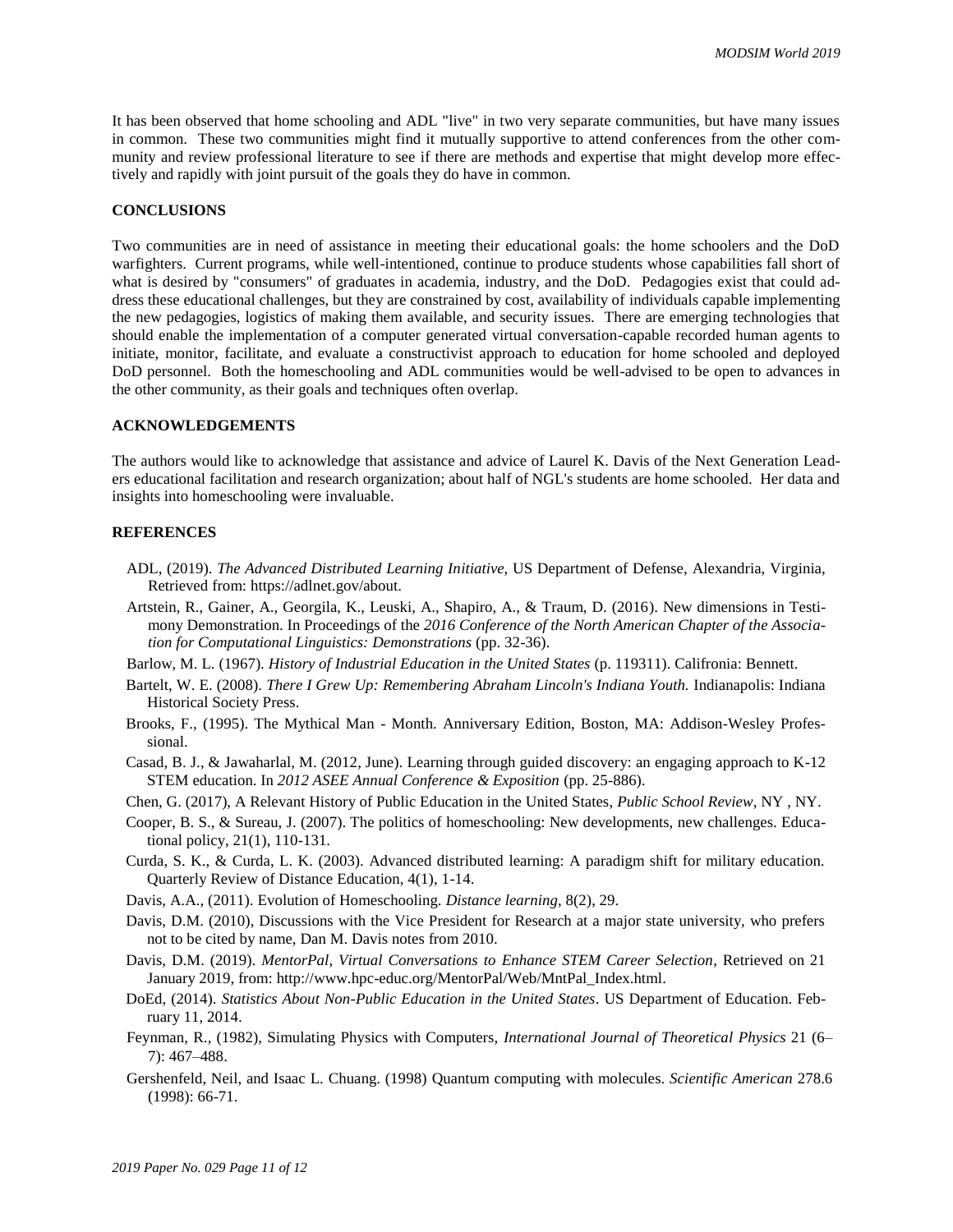It has been observed that home schooling and ADL "live" in two very separate communities, but have many issues in common. These two communities might find it mutually supportive to attend conferences from the other community and review professional literature to see if there are methods and expertise that might develop more effectively and rapidly with joint pursuit of the goals they do have in common.

#### **CONCLUSIONS**

Two communities are in need of assistance in meeting their educational goals: the home schoolers and the DoD warfighters. Current programs, while well-intentioned, continue to produce students whose capabilities fall short of what is desired by "consumers" of graduates in academia, industry, and the DoD. Pedagogies exist that could address these educational challenges, but they are constrained by cost, availability of individuals capable implementing the new pedagogies, logistics of making them available, and security issues. There are emerging technologies that should enable the implementation of a computer generated virtual conversation-capable recorded human agents to initiate, monitor, facilitate, and evaluate a constructivist approach to education for home schooled and deployed DoD personnel. Both the homeschooling and ADL communities would be well-advised to be open to advances in the other community, as their goals and techniques often overlap.

#### **ACKNOWLEDGEMENTS**

The authors would like to acknowledge that assistance and advice of Laurel K. Davis of the Next Generation Leaders educational facilitation and research organization; about half of NGL's students are home schooled. Her data and insights into homeschooling were invaluable.

#### **REFERENCES**

- ADL, (2019). *The Advanced Distributed Learning Initiative*, US Department of Defense, Alexandria, Virginia, Retrieved from: https://adlnet.gov/about.
- Artstein, R., Gainer, A., Georgila, K., Leuski, A., Shapiro, A., & Traum, D. (2016). New dimensions in Testimony Demonstration. In Proceedings of the *2016 Conference of the North American Chapter of the Association for Computational Linguistics: Demonstrations* (pp. 32-36).
- Barlow, M. L. (1967). *History of Industrial Education in the United States* (p. 119311). Califronia: Bennett.
- Bartelt, W. E. (2008). *There I Grew Up: Remembering Abraham Lincoln's Indiana Youth.* Indianapolis: Indiana Historical Society Press.
- Brooks, F., (1995). The Mythical Man Month. Anniversary Edition, Boston, MA: Addison-Wesley Professional.
- Casad, B. J., & Jawaharlal, M. (2012, June). Learning through guided discovery: an engaging approach to K-12 STEM education. In *2012 ASEE Annual Conference & Exposition* (pp. 25-886).
- Chen, G. (2017), A Relevant History of Public Education in the United States, *Public School Review*, NY , NY.
- Cooper, B. S., & Sureau, J. (2007). The politics of homeschooling: New developments, new challenges. Educational policy, 21(1), 110-131.
- Curda, S. K., & Curda, L. K. (2003). Advanced distributed learning: A paradigm shift for military education. Quarterly Review of Distance Education, 4(1), 1-14.
- Davis, A.A., (2011). Evolution of Homeschooling. *Distance learning*, 8(2), 29.
- Davis, D.M. (2010), Discussions with the Vice President for Research at a major state university, who prefers not to be cited by name, Dan M. Davis notes from 2010.
- Davis, D.M. (2019). *MentorPal, Virtual Conversations to Enhance STEM Career Selection*, Retrieved on 21 January 2019, from: http://www.hpc-educ.org/MentorPal/Web/MntPal\_Index.html.
- DoEd, (2014). *Statistics About Non-Public Education in the United States*. US Department of Education. February 11, 2014.
- Feynman, R., (1982), Simulating Physics with Computers, *International Journal of Theoretical Physics* 21 (6– 7): 467–488.
- Gershenfeld, Neil, and Isaac L. Chuang. (1998) Quantum computing with molecules. *Scientific American* 278.6 (1998): 66-71.